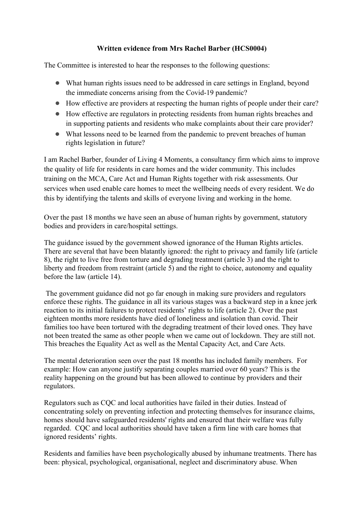## **Written evidence from Mrs Rachel Barber (HCS0004)**

The Committee is interested to hear the responses to the following questions:

- What human rights issues need to be addressed in care settings in England, beyond the immediate concerns arising from the Covid-19 pandemic?
- How effective are providers at respecting the human rights of people under their care?
- How effective are regulators in protecting residents from human rights breaches and in supporting patients and residents who make complaints about their care provider?
- What lessons need to be learned from the pandemic to prevent breaches of human rights legislation in future?

I am Rachel Barber, founder of Living 4 Moments, a consultancy firm which aims to improve the quality of life for residents in care homes and the wider community. This includes training on the MCA, Care Act and Human Rights together with risk assessments. Our services when used enable care homes to meet the wellbeing needs of every resident. We do this by identifying the talents and skills of everyone living and working in the home.

Over the past 18 months we have seen an abuse of human rights by government, statutory bodies and providers in care/hospital settings.

The guidance issued by the government showed ignorance of the Human Rights articles. There are several that have been blatantly ignored: the right to privacy and family life (article 8), the right to live free from torture and degrading treatment (article 3) and the right to liberty and freedom from restraint (article 5) and the right to choice, autonomy and equality before the law (article 14).

The government guidance did not go far enough in making sure providers and regulators enforce these rights. The guidance in all its various stages was a backward step in a knee jerk reaction to its initial failures to protect residents' rights to life (article 2). Over the past eighteen months more residents have died of loneliness and isolation than covid. Their families too have been tortured with the degrading treatment of their loved ones. They have not been treated the same as other people when we came out of lockdown. They are still not. This breaches the Equality Act as well as the Mental Capacity Act, and Care Acts.

The mental deterioration seen over the past 18 months has included family members. For example: How can anyone justify separating couples married over 60 years? This is the reality happening on the ground but has been allowed to continue by providers and their regulators.

Regulators such as CQC and local authorities have failed in their duties. Instead of concentrating solely on preventing infection and protecting themselves for insurance claims, homes should have safeguarded residents' rights and ensured that their welfare was fully regarded. CQC and local authorities should have taken a firm line with care homes that ignored residents' rights.

Residents and families have been psychologically abused by inhumane treatments. There has been: physical, psychological, organisational, neglect and discriminatory abuse. When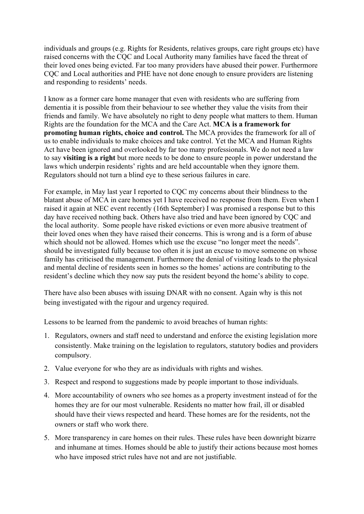individuals and groups (e.g. Rights for Residents, relatives groups, care right groups etc) have raised concerns with the CQC and Local Authority many families have faced the threat of their loved ones being evicted. Far too many providers have abused their power. Furthermore CQC and Local authorities and PHE have not done enough to ensure providers are listening and responding to residents' needs.

I know as a former care home manager that even with residents who are suffering from dementia it is possible from their behaviour to see whether they value the visits from their friends and family. We have absolutely no right to deny people what matters to them. Human Rights are the foundation for the MCA and the Care Act. **MCA is a framework for promoting human rights, choice and control.** The MCA provides the framework for all of us to enable individuals to make choices and take control. Yet the MCA and Human Rights Act have been ignored and overlooked by far too many professionals. We do not need a law to say **visiting is a right** but more needs to be done to ensure people in power understand the laws which underpin residents' rights and are held accountable when they ignore them. Regulators should not turn a blind eye to these serious failures in care.

For example, in May last year I reported to CQC my concerns about their blindness to the blatant abuse of MCA in care homes yet I have received no response from them. Even when I raised it again at NEC event recently (16th September) I was promised a response but to this day have received nothing back. Others have also tried and have been ignored by CQC and the local authority. Some people have risked evictions or even more abusive treatment of their loved ones when they have raised their concerns. This is wrong and is a form of abuse which should not be allowed. Homes which use the excuse "no longer meet the needs". should be investigated fully because too often it is just an excuse to move someone on whose family has criticised the management. Furthermore the denial of visiting leads to the physical and mental decline of residents seen in homes so the homes' actions are contributing to the resident's decline which they now say puts the resident beyond the home's ability to cope.

There have also been abuses with issuing DNAR with no consent. Again why is this not being investigated with the rigour and urgency required.

Lessons to be learned from the pandemic to avoid breaches of human rights:

- 1. Regulators, owners and staff need to understand and enforce the existing legislation more consistently. Make training on the legislation to regulators, statutory bodies and providers compulsory.
- 2. Value everyone for who they are as individuals with rights and wishes.
- 3. Respect and respond to suggestions made by people important to those individuals.
- 4. More accountability of owners who see homes as a property investment instead of for the homes they are for our most vulnerable. Residents no matter how frail, ill or disabled should have their views respected and heard. These homes are for the residents, not the owners or staff who work there.
- 5. More transparency in care homes on their rules. These rules have been downright bizarre and inhumane at times. Homes should be able to justify their actions because most homes who have imposed strict rules have not and are not justifiable.